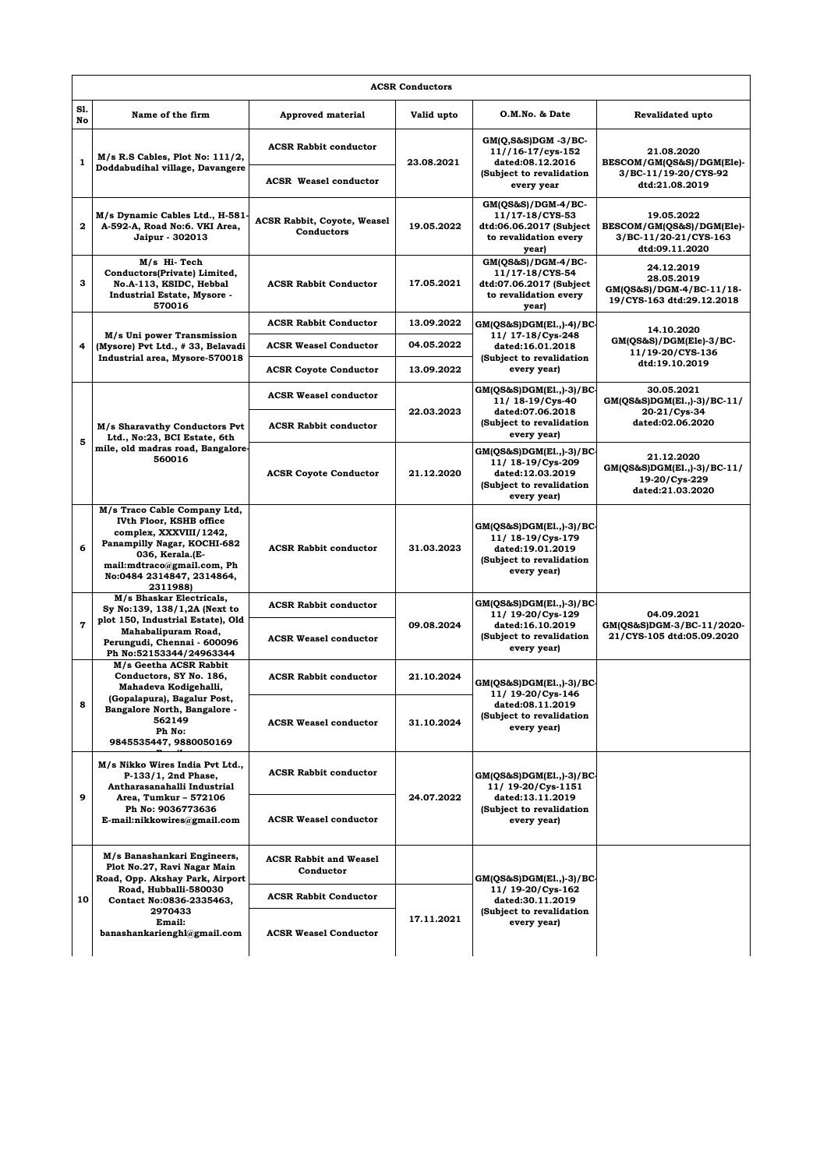| <b>ACSR Conductors</b> |                                                                                                                                                                                                            |                                                              |            |                                                                                                               |                                                                                    |  |  |  |
|------------------------|------------------------------------------------------------------------------------------------------------------------------------------------------------------------------------------------------------|--------------------------------------------------------------|------------|---------------------------------------------------------------------------------------------------------------|------------------------------------------------------------------------------------|--|--|--|
| S1.<br>No              | Name of the firm                                                                                                                                                                                           | <b>Approved material</b>                                     | Valid upto | O.M.No. & Date                                                                                                | Revalidated upto                                                                   |  |  |  |
| $\mathbf{1}$           | $M/s$ R.S Cables, Plot No: $111/2$ ,<br>Doddabudihal village, Davangere                                                                                                                                    | <b>ACSR Rabbit conductor</b><br><b>ACSR</b> Weasel conductor | 23.08.2021 | $GM(Q, S\&S)DGM - 3/BC$<br>11//16-17/cys-152<br>dated:08.12.2016<br>(Subject to revalidation<br>every year    | 21.08.2020<br>BESCOM/GM(QS&S)/DGM(Ele)-<br>3/BC-11/19-20/CYS-92<br>dtd:21.08.2019  |  |  |  |
| $\mathbf{2}$           | M/s Dynamic Cables Ltd., H-581-<br>A-592-A, Road No:6. VKI Area,<br>Jaipur - 302013                                                                                                                        | <b>ACSR Rabbit, Coyote, Weasel</b><br>Conductors             | 19.05.2022 | GM(QS&S)/DGM-4/BC-<br>11/17-18/CYS-53<br>dtd:06.06.2017 (Subject<br>to revalidation every<br>year)            | 19.05.2022<br>BESCOM/GM(QS&S)/DGM(Ele)-<br>3/BC-11/20-21/CYS-163<br>dtd:09.11.2020 |  |  |  |
| 3                      | M/s Hi-Tech<br>Conductors(Private) Limited,<br>No.A-113, KSIDC, Hebbal<br><b>Industrial Estate, Mysore -</b><br>570016                                                                                     | <b>ACSR Rabbit Conductor</b>                                 | 17.05.2021 | GM(OS&S)/DGM-4/BC-<br>11/17-18/CYS-54<br>dtd:07.06.2017 (Subject<br>to revalidation every<br>year)            | 24.12.2019<br>28.05.2019<br>GM(QS&S)/DGM-4/BC-11/18-<br>19/CYS-163 dtd:29.12.2018  |  |  |  |
|                        | M/s Uni power Transmission<br>(Mysore) Pvt Ltd., #33, Belavadi<br>Industrial area, Mysore-570018                                                                                                           | <b>ACSR Rabbit Conductor</b>                                 | 13.09.2022 | GM(QS&S)DGM(E1.,)-4)/BC-<br>11/ 17-18/Cys-248<br>dated:16.01.2018<br>(Subject to revalidation<br>every year)  | 14.10.2020<br>GM(QS&S)/DGM(Ele)-3/BC-<br>11/19-20/CYS-136<br>dtd:19.10.2019        |  |  |  |
| 4                      |                                                                                                                                                                                                            | <b>ACSR Weasel Conductor</b>                                 | 04.05.2022 |                                                                                                               |                                                                                    |  |  |  |
|                        |                                                                                                                                                                                                            | <b>ACSR Coyote Conductor</b>                                 | 13.09.2022 |                                                                                                               |                                                                                    |  |  |  |
| 5                      | M/s Sharavathy Conductors Pvt<br>Ltd., No:23, BCI Estate, 6th<br>mile, old madras road, Bangalore-<br>560016                                                                                               | <b>ACSR Weasel conductor</b>                                 | 22.03.2023 | GM(QS&S)DGM(E1, 3) / BC<br>11/ 18-19/Cys-40<br>dated:07.06.2018<br>(Subject to revalidation<br>every year)    | 30.05.2021<br>GM(QS&S)DGM(E1.,)-3)/BC-11/<br>20-21/Cys-34                          |  |  |  |
|                        |                                                                                                                                                                                                            | <b>ACSR Rabbit conductor</b>                                 |            |                                                                                                               | dated:02.06.2020                                                                   |  |  |  |
|                        |                                                                                                                                                                                                            | <b>ACSR Coyote Conductor</b>                                 | 21.12.2020 | GM(QS&S)DGM(E1.,)-3)/BC-<br>11/ 18-19/Cys-209<br>dated:12.03.2019<br>(Subject to revalidation<br>every year)  | 21.12.2020<br>GM(QS&S)DGM(E1.,)-3)/BC-11/<br>19-20/Cys-229<br>dated:21.03.2020     |  |  |  |
| 6                      | M/s Traco Cable Company Ltd,<br>IVth Floor, KSHB office<br>complex, XXXVIII/1242,<br>Panampilly Nagar, KOCHI-682<br>036, Kerala.(E-<br>mail:mdtraco@gmail.com, Ph<br>No:0484 2314847, 2314864,<br>2311988) | <b>ACSR Rabbit conductor</b>                                 | 31.03.2023 | $GM(QS\&S)DGM(E1.,-3)/BC$<br>11/ 18-19/Cys-179<br>dated:19.01.2019<br>(Subject to revalidation<br>every year) |                                                                                    |  |  |  |
| $\overline{7}$         | M/s Bhaskar Electricals,<br>Sy No:139, 138/1,2A (Next to<br>plot 150, Industrial Estate), Old<br>Mahabalipuram Road,<br>Perungudi, Chennai - 600096<br>Ph No:52153344/24963344                             | <b>ACSR Rabbit conductor</b>                                 | 09.08.2024 | $GM(QS\&S)DGM(E1.,-3)/BC$<br>11/ 19-20/Cys-129<br>dated:16.10.2019<br>(Subject to revalidation<br>every year) | 04.09.2021<br>GM(QS&S)DGM-3/BC-11/2020-<br>21/CYS-105 dtd:05.09.2020               |  |  |  |
|                        |                                                                                                                                                                                                            | <b>ACSR Weasel conductor</b>                                 |            |                                                                                                               |                                                                                    |  |  |  |
| 8                      | M/s Geetha ACSR Rabbit<br>Conductors, SY No. 186,<br>Mahadeva Kodigehalli,<br>(Gopalapura), Bagalur Post,<br>Bangalore North, Bangalore -<br>562149<br>Ph No:<br>9845535447, 9880050169                    | <b>ACSR Rabbit conductor</b>                                 | 21.10.2024 | GM(QS&S)DGM(E1.,)-3)/BC-<br>11/ 19-20/Cys-146                                                                 |                                                                                    |  |  |  |
|                        |                                                                                                                                                                                                            | <b>ACSR Weasel conductor</b>                                 | 31.10.2024 | dated:08.11.2019<br>(Subject to revalidation<br>every year)                                                   |                                                                                    |  |  |  |
| 9                      | M/s Nikko Wires India Pvt Ltd.,<br>P-133/1, 2nd Phase,<br>Antharasanahalli Industrial<br>Area, Tumkur – 572106<br>Ph No: 9036773636<br>E-mail:nikkowires@gmail.com                                         | <b>ACSR Rabbit conductor</b>                                 | 24.07.2022 | $GM(QS&S)DGM(E1.,-3)/BC$<br>11/ 19-20/Cys-1151<br>dated:13.11.2019<br>(Subject to revalidation<br>every year) |                                                                                    |  |  |  |
|                        |                                                                                                                                                                                                            | <b>ACSR Weasel conductor</b>                                 |            |                                                                                                               |                                                                                    |  |  |  |
| 10                     | M/s Banashankari Engineers,<br>Plot No.27, Ravi Nagar Main<br>Road, Opp. Akshay Park, Airport<br>Road, Hubballi-580030<br>Contact No:0836-2335463,<br>2970433<br>Email:<br>banashankarienghl@gmail.com     | <b>ACSR Rabbit and Weasel</b><br>Conductor                   |            | $GM(QS&S)DGM(E1.,-3)/BC$<br>11/ 19-20/Cys-162<br>dated:30.11.2019<br>(Subject to revalidation<br>every year)  |                                                                                    |  |  |  |
|                        |                                                                                                                                                                                                            | <b>ACSR Rabbit Conductor</b>                                 | 17.11.2021 |                                                                                                               |                                                                                    |  |  |  |
|                        |                                                                                                                                                                                                            | <b>ACSR Weasel Conductor</b>                                 |            |                                                                                                               |                                                                                    |  |  |  |